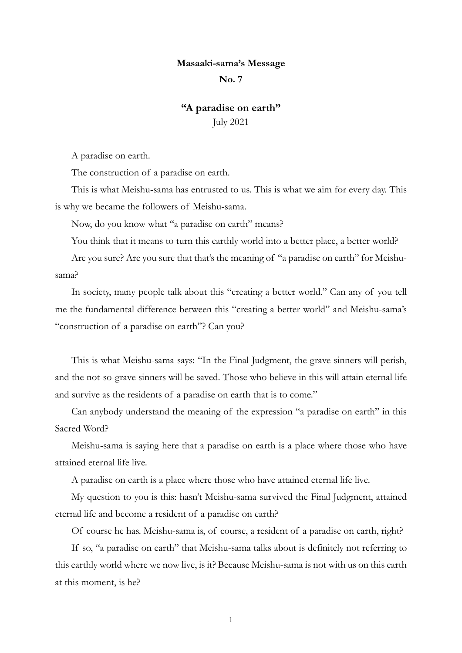## **Masaaki-sama's Message**

## **No. 7**

## **"A paradise on earth"**

July 2021

A paradise on earth.

The construction of a paradise on earth.

This is what Meishu-sama has entrusted to us. This is what we aim for every day. This is why we became the followers of Meishu-sama.

Now, do you know what "a paradise on earth" means?

You think that it means to turn this earthly world into a better place, a better world?

Are you sure? Are you sure that that's the meaning of "a paradise on earth" for Meishusama?

In society, many people talk about this "creating a better world." Can any of you tell me the fundamental difference between this "creating a better world" and Meishu-sama's "construction of a paradise on earth"? Can you?

This is what Meishu-sama says: "In the Final Judgment, the grave sinners will perish, and the not-so-grave sinners will be saved. Those who believe in this will attain eternal life and survive as the residents of a paradise on earth that is to come."

Can anybody understand the meaning of the expression "a paradise on earth" in this Sacred Word?

Meishu-sama is saying here that a paradise on earth is a place where those who have attained eternal life live.

A paradise on earth is a place where those who have attained eternal life live.

My question to you is this: hasn't Meishu-sama survived the Final Judgment, attained eternal life and become a resident of a paradise on earth?

Of course he has. Meishu-sama is, of course, a resident of a paradise on earth, right?

If so, "a paradise on earth" that Meishu-sama talks about is definitely not referring to this earthly world where we now live, is it? Because Meishu-sama is not with us on this earth at this moment, is he?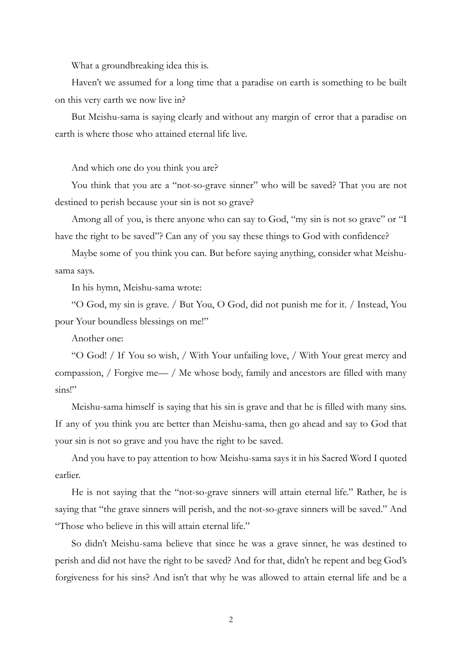What a groundbreaking idea this is.

Haven't we assumed for a long time that a paradise on earth is something to be built on this very earth we now live in?

But Meishu-sama is saying clearly and without any margin of error that a paradise on earth is where those who attained eternal life live.

And which one do you think you are?

You think that you are a "not-so-grave sinner" who will be saved? That you are not destined to perish because your sin is not so grave?

Among all of you, is there anyone who can say to God, "my sin is not so grave" or "I have the right to be saved"? Can any of you say these things to God with confidence?

Maybe some of you think you can. But before saying anything, consider what Meishusama says.

In his hymn, Meishu-sama wrote:

"O God, my sin is grave. / But You, O God, did not punish me for it. / Instead, You pour Your boundless blessings on me!"

Another one:

"O God! / If You so wish, / With Your unfailing love, / With Your great mercy and compassion, / Forgive me— / Me whose body, family and ancestors are filled with many sins!"

Meishu-sama himself is saying that his sin is grave and that he is filled with many sins. If any of you think you are better than Meishu-sama, then go ahead and say to God that your sin is not so grave and you have the right to be saved.

And you have to pay attention to how Meishu-sama says it in his Sacred Word I quoted earlier.

He is not saying that the "not-so-grave sinners will attain eternal life." Rather, he is saying that "the grave sinners will perish, and the not-so-grave sinners will be saved." And "Those who believe in this will attain eternal life."

So didn't Meishu-sama believe that since he was a grave sinner, he was destined to perish and did not have the right to be saved? And for that, didn't he repent and beg God's forgiveness for his sins? And isn't that why he was allowed to attain eternal life and be a